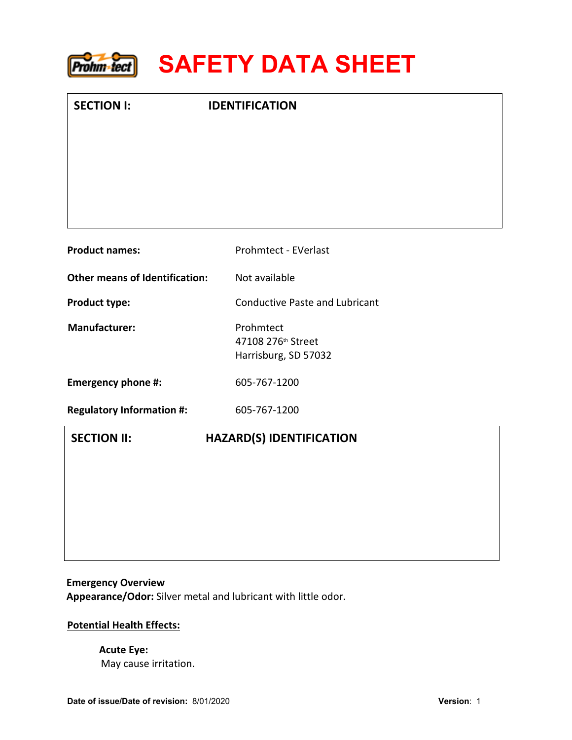

| <b>SECTION I:</b>                     | <b>IDENTIFICATION</b>                 |  |
|---------------------------------------|---------------------------------------|--|
|                                       |                                       |  |
|                                       |                                       |  |
|                                       |                                       |  |
|                                       |                                       |  |
| <b>Product names:</b>                 | Prohmtect - EVerlast                  |  |
| <b>Other means of Identification:</b> | Not available                         |  |
| Product type:                         | <b>Conductive Paste and Lubricant</b> |  |
| <b>Manufacturer:</b>                  | Prohmtect<br>47108 276th Street       |  |
|                                       | Harrisburg, SD 57032                  |  |
| Emergency phone #:                    | 605-767-1200                          |  |
| <b>Regulatory Information #:</b>      | 605-767-1200                          |  |
| <b>SECTION II:</b>                    | <b>HAZARD(S) IDENTIFICATION</b>       |  |
|                                       |                                       |  |
|                                       |                                       |  |
|                                       |                                       |  |
|                                       |                                       |  |
|                                       |                                       |  |

**Emergency Overview Appearance/Odor:** Silver metal and lubricant with little odor.

#### **Potential Health Effects:**

**Acute Eye:**  May cause irritation.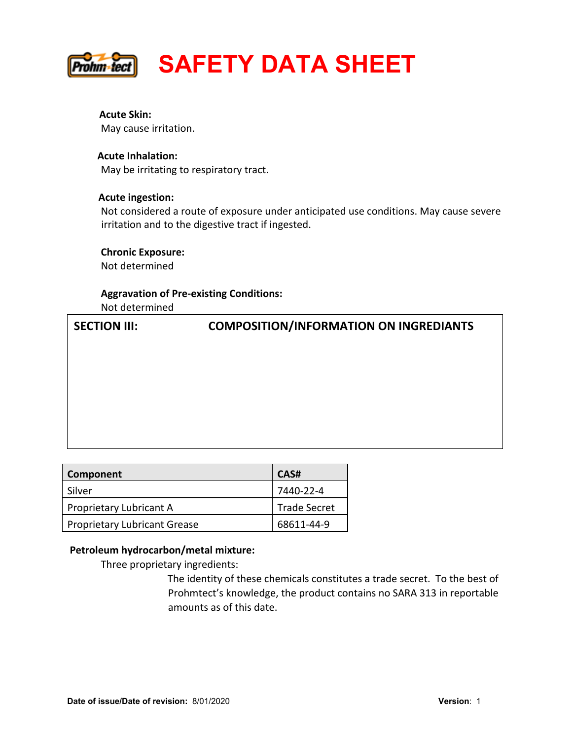

## **Acute Skin:**

May cause irritation.

#### **Acute Inhalation:**

May be irritating to respiratory tract.

#### **Acute ingestion:**

Not considered a route of exposure under anticipated use conditions. May cause severe irritation and to the digestive tract if ingested.

# **Chronic Exposure:** Not determined

# **Aggravation of Pre-existing Conditions:** Not determined

**SECTION III: COMPOSITION/INFORMATION ON INGREDIANTS**

| Component                    | CAS#                |
|------------------------------|---------------------|
| Silver                       | 7440-22-4           |
| Proprietary Lubricant A      | <b>Trade Secret</b> |
| Proprietary Lubricant Grease | 68611-44-9          |

#### **Petroleum hydrocarbon/metal mixture:**

Three proprietary ingredients:

The identity of these chemicals constitutes a trade secret. To the best of Prohmtect's knowledge, the product contains no SARA 313 in reportable amounts as of this date.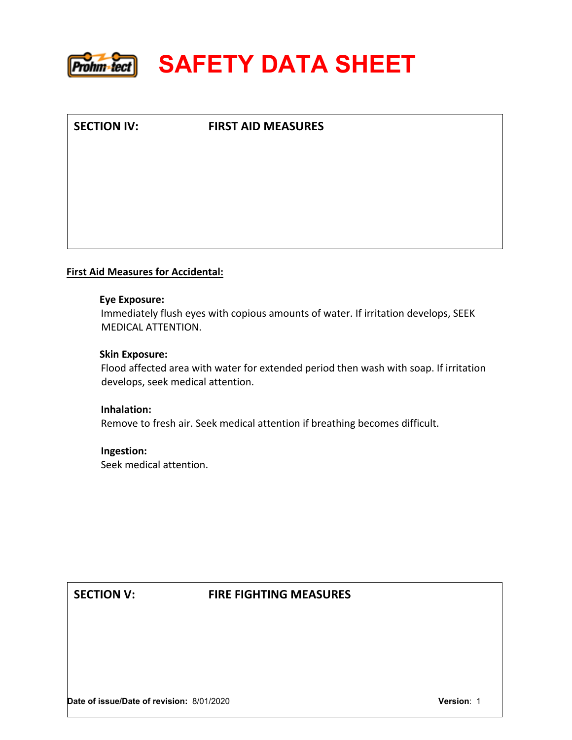

#### **SECTION IV: FIRST AID MEASURES**

#### **First Aid Measures for Accidental:**

#### **Eye Exposure:**

Immediately flush eyes with copious amounts of water. If irritation develops, SEEK MEDICAL ATTENTION.

#### **Skin Exposure:**

Flood affected area with water for extended period then wash with soap. If irritation develops, seek medical attention.

### **Inhalation:**

Remove to fresh air. Seek medical attention if breathing becomes difficult.

#### **Ingestion:**

Seek medical attention.

### **SECTION V: FIRE FIGHTING MEASURES**

**Date of issue/Date of revision:** 8/01/2020 **Version**: 1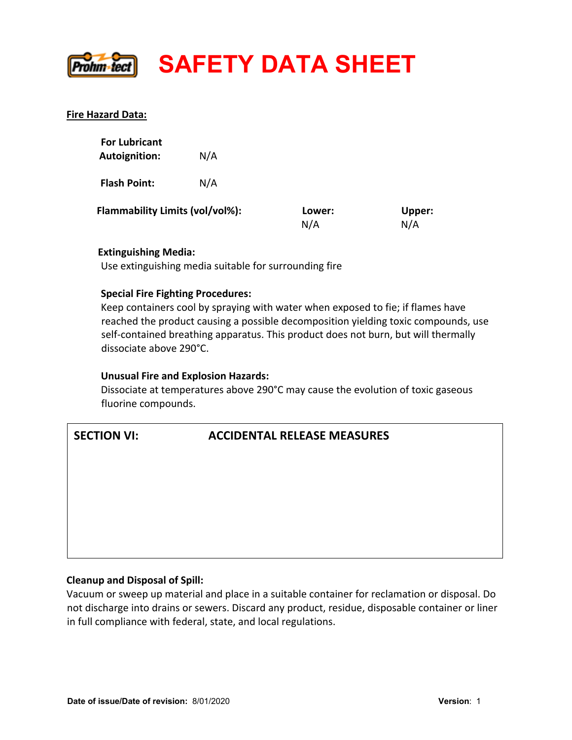

#### **Fire Hazard Data:**

| Flammability Limits (vol/vol%):              |     | Lower:<br>N/A | Upper:<br>N/A |  |
|----------------------------------------------|-----|---------------|---------------|--|
| <b>Flash Point:</b>                          | N/A |               |               |  |
| <b>For Lubricant</b><br><b>Autoignition:</b> | N/A |               |               |  |

#### **Extinguishing Media:**

Use extinguishing media suitable for surrounding fire

#### **Special Fire Fighting Procedures:**

Keep containers cool by spraying with water when exposed to fie; if flames have reached the product causing a possible decomposition yielding toxic compounds, use self-contained breathing apparatus. This product does not burn, but will thermally dissociate above 290°C.

#### **Unusual Fire and Explosion Hazards:**

Dissociate at temperatures above 290°C may cause the evolution of toxic gaseous fluorine compounds.

#### **SECTION VI: ACCIDENTAL RELEASE MEASURES**

#### **Cleanup and Disposal of Spill:**

Vacuum or sweep up material and place in a suitable container for reclamation or disposal. Do not discharge into drains or sewers. Discard any product, residue, disposable container or liner in full compliance with federal, state, and local regulations.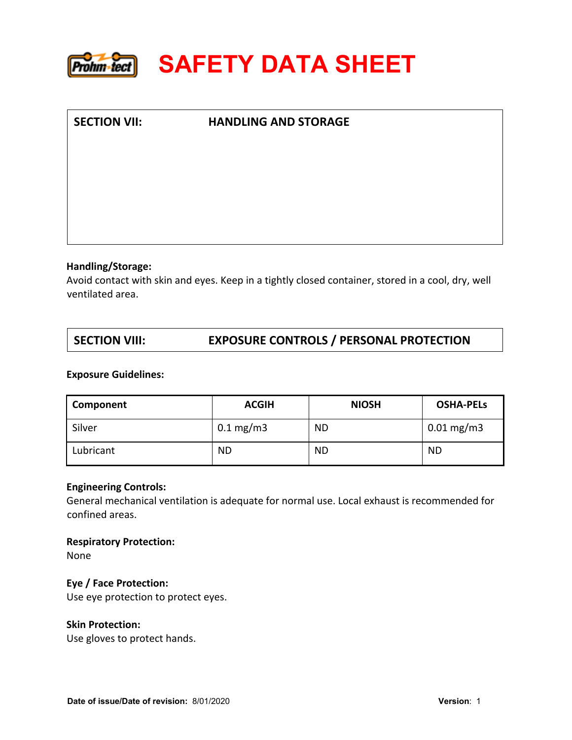

| <b>HANDLING AND STORAGE</b> |  |
|-----------------------------|--|
|                             |  |
|                             |  |
|                             |  |
|                             |  |
|                             |  |

#### **Handling/Storage:**

Avoid contact with skin and eyes. Keep in a tightly closed container, stored in a cool, dry, well ventilated area.

### **SECTION VIII: EXPOSURE CONTROLS / PERSONAL PROTECTION**

#### **Exposure Guidelines:**

| Component | <b>ACGIH</b>           | <b>NIOSH</b> | <b>OSHA-PELS</b>        |
|-----------|------------------------|--------------|-------------------------|
| Silver    | $0.1 \,\mathrm{mg/m3}$ | <b>ND</b>    | $0.01 \,\mathrm{mg/m3}$ |
| Lubricant | <b>ND</b>              | <b>ND</b>    | <b>ND</b>               |

#### **Engineering Controls:**

General mechanical ventilation is adequate for normal use. Local exhaust is recommended for confined areas.

**Respiratory Protection:**

None

#### **Eye / Face Protection:**

Use eye protection to protect eyes.

#### **Skin Protection:**

Use gloves to protect hands.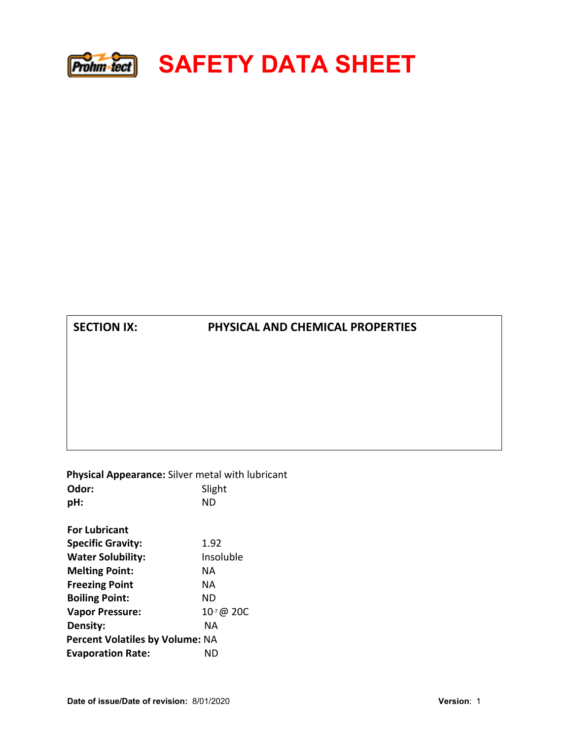

## **SECTION IX: PHYSICAL AND CHEMICAL PROPERTIES**

**Physical Appearance:** Silver metal with lubricant **Odor:** Slight **pH:**  ND

| <b>For Lubricant</b>            |                 |  |
|---------------------------------|-----------------|--|
| <b>Specific Gravity:</b>        | 1.92            |  |
| <b>Water Solubility:</b>        | Insoluble       |  |
| <b>Melting Point:</b>           | <b>NA</b>       |  |
| <b>Freezing Point</b>           | <b>NA</b>       |  |
| <b>Boiling Point:</b>           | <b>ND</b>       |  |
| <b>Vapor Pressure:</b>          | $10^{.7}$ @ 20C |  |
| Density:                        | NA.             |  |
| Percent Volatiles by Volume: NA |                 |  |
| <b>Evaporation Rate:</b>        | ND              |  |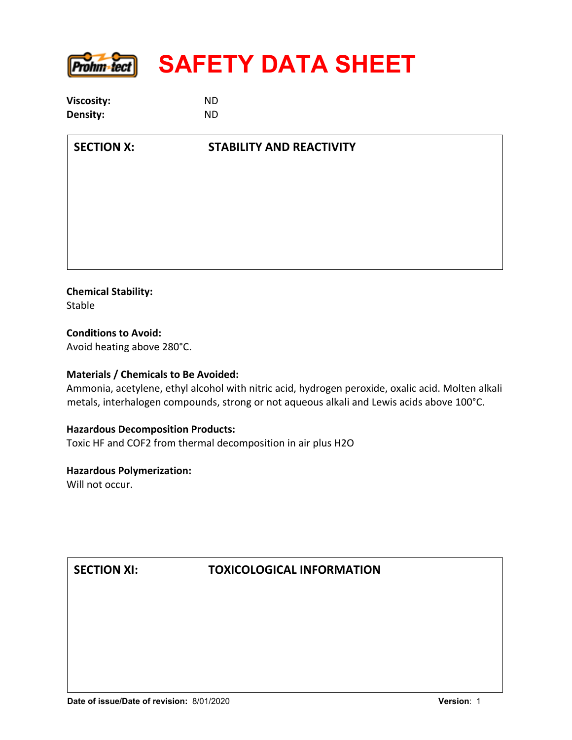# **Frohm-fect** SAFETY DATA SHEET

| Viscosity: | ND |
|------------|----|
| Density:   | ND |

## **SECTION X: STABILITY AND REACTIVITY**

**Chemical Stability:**  Stable

#### **Conditions to Avoid:**

Avoid heating above 280°C.

#### **Materials / Chemicals to Be Avoided:**

Ammonia, acetylene, ethyl alcohol with nitric acid, hydrogen peroxide, oxalic acid. Molten alkali metals, interhalogen compounds, strong or not aqueous alkali and Lewis acids above 100°C.

#### **Hazardous Decomposition Products:**

Toxic HF and COF2 from thermal decomposition in air plus H2O

#### **Hazardous Polymerization:**

Will not occur.

### **SECTION XI: TOXICOLOGICAL INFORMATION**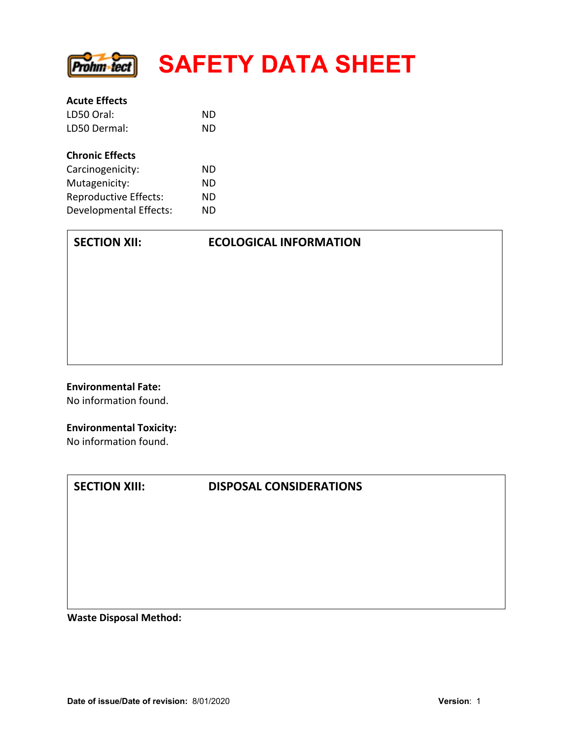

| <b>Acute Effects</b>          |     |  |
|-------------------------------|-----|--|
| LD50 Oral:                    | ND  |  |
| LD50 Dermal:                  | ND  |  |
|                               |     |  |
| <b>Chronic Effects</b>        |     |  |
| Carcinogenicity:              | ND. |  |
| Mutagenicity:                 | ND. |  |
| <b>Reproductive Effects:</b>  | ND. |  |
| <b>Developmental Effects:</b> | ND  |  |
|                               |     |  |

**Environmental Fate:** No information found.

# **Environmental Toxicity:** No information found.

**SECTION XIII: DISPOSAL CONSIDERATIONS** 

**Waste Disposal Method:**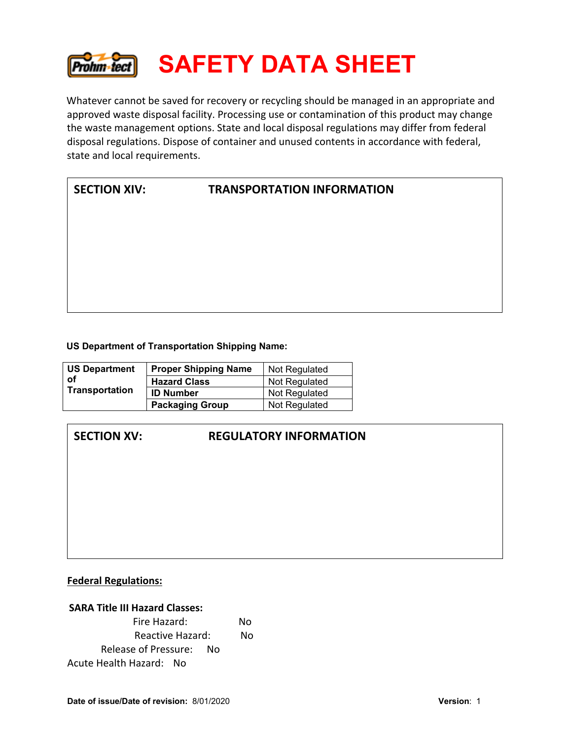

Whatever cannot be saved for recovery or recycling should be managed in an appropriate and approved waste disposal facility. Processing use or contamination of this product may change the waste management options. State and local disposal regulations may differ from federal disposal regulations. Dispose of container and unused contents in accordance with federal, state and local requirements.

| <b>SECTION XIV:</b> | <b>TRANSPORTATION INFORMATION</b> |
|---------------------|-----------------------------------|
|                     |                                   |
|                     |                                   |

#### **US Department of Transportation Shipping Name:**

| <b>US Department</b>  | <b>Proper Shipping Name</b> | Not Regulated |
|-----------------------|-----------------------------|---------------|
| <b>of</b>             | <b>Hazard Class</b>         | Not Regulated |
| <b>Transportation</b> | <b>ID Number</b>            | Not Regulated |
|                       | <b>Packaging Group</b>      | Not Regulated |

| <b>SECTION XV:</b> | <b>REGULATORY INFORMATION</b> |  |
|--------------------|-------------------------------|--|
|                    |                               |  |
|                    |                               |  |
|                    |                               |  |
|                    |                               |  |
|                    |                               |  |
|                    |                               |  |

### **Federal Regulations:**

#### **SARA Title III Hazard Classes:**

| Fire Hazard:               | N٥ |  |
|----------------------------|----|--|
| Reactive Hazard:           | Nο |  |
| Release of Pressure:<br>N∩ |    |  |
| Acute Health Hazard: No    |    |  |